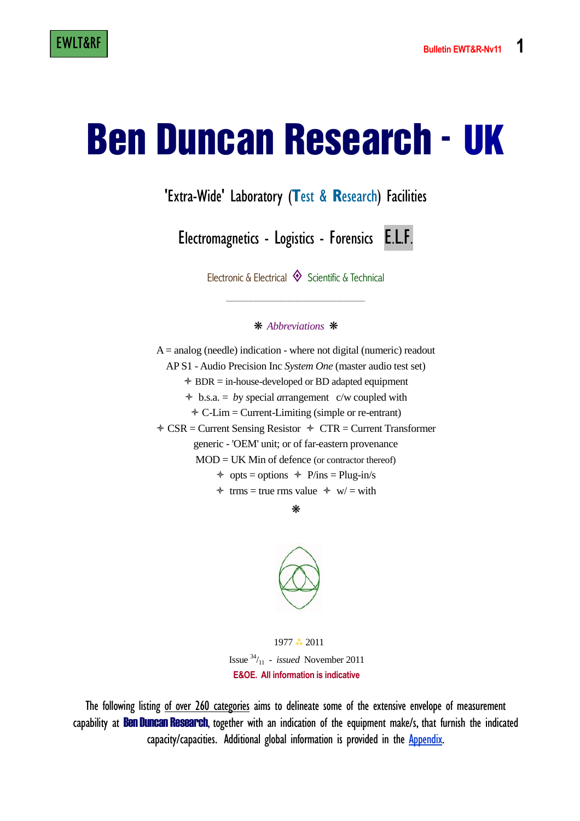# Ben Duncan Research - UK

'Extra-Wide' Laboratory (**T**est & **R**esearch) Facilities

Electromagnetics - Logistics - Forensics E.L.F.

Electronic & Electrical  $\Diamond$  Scientific & Technical

\_\_\_\_\_\_\_\_\_\_\_\_\_\_\_\_\_\_\_\_\_\_\_\_\_\_\_\_\_\_\_\_\_\_\_\_\_\_\_\_\_\_\_\_\_\_\_\_\_\_\_

#### ❋ *Abbreviations* ❋

 $A =$  analog (needle) indication - where not digital (numeric) readout AP S1 - Audio Precision Inc *System One* (master audio test set) - BDR = in-house-developed or BD adapted equipment - b.s.a. = *b*y *s*pecial *a*rrangement c/w coupled with - C-Lim = Current-Limiting (simple or re-entrant)  **← CSR** = Current Sensing Resistor ← CTR = Current Transformer generic - 'OEM' unit; or of far-eastern provenance  $MOD = UK$  Min of defence (or contractor thereof)  $\div$  opts = options  $\div$  P/ins = Plug-in/s  $\div$  trms = true rms value  $\div$  w/ = with

❋



1977 \* 2011 Issue  $34/11$  - *issued* November 2011  **E&OE. All information is indicative** 

The following listing of over 260 categories aims to delineate some of the extensive envelope of measurement capability at **Ben Duncan Research**, together with an indication of the equipment make/s, that furnish the indicated capacity/capacities. Additional global information is provided in the Appendix.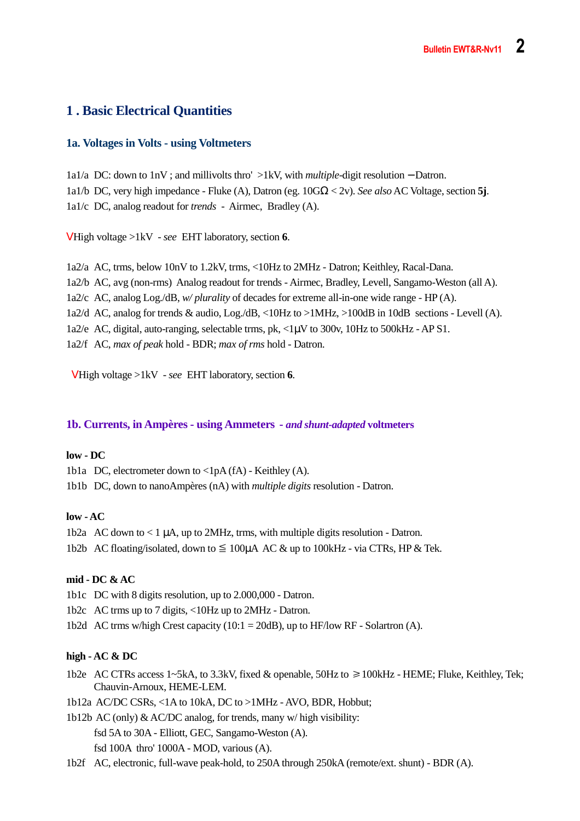# **1 . Basic Electrical Quantities**

#### **1a. Voltages in Volts - using Voltmeters**

1a1/a DC: down to 1nV ; and millivolts thro' >1kV, with *multiple*-digit resolution − Datron. 1a1/b DC, very high impedance - Fluke (A), Datron (eg. 10GΩ < 2v). *See also* AC Voltage, section **5j**. 1a1/c DC, analog readout for *trends* - Airmec, Bradley (A).

V High voltage >1kV - *see* EHT laboratory, section **6**.

1a2/a AC, trms, below 10nV to 1.2kV, trms, <10Hz to 2MHz - Datron; Keithley, Racal-Dana. 1a2/b AC, avg (non-rms) Analog readout for trends - Airmec, Bradley, Levell, Sangamo-Weston (all A). 1a2/c AC, analog Log./dB, *w/ plurality* of decades for extreme all-in-one wide range - HP (A). 1a2/d AC, analog for trends & audio, Log./dB, <10Hz to >1MHz, >100dB in 10dB sections - Levell (A). 1a2/e AC, digital, auto-ranging, selectable trms, pk, <1µV to 300v, 10Hz to 500kHz - AP S1. 1a2/f AC, *max of peak* hold - BDR; *max of rms* hold - Datron.

V High voltage >1kV - *see* EHT laboratory, section **6**.

#### **1b. Currents, in Ampères - using Ammeters -** *and shunt-adapted* **voltmeters**

#### **low - DC**

1b1a DC, electrometer down to <1pA (fA) - Keithley (A).

1b1b DC, down to nanoAmpères (nA) with *multiple digits* resolution - Datron.

#### **low - AC**

- 1b2a AC down to  $\lt 1 \mu A$ , up to 2MHz, trms, with multiple digits resolution Datron.
- 1b2b AC floating/isolated, down to  $\leq 100\mu A$  AC & up to 100kHz via CTRs, HP & Tek.

#### **mid - DC & AC**

- 1b1c DC with 8 digits resolution, up to 2.000,000 Datron.
- 1b2c AC trms up to 7 digits, <10Hz up to 2MHz Datron.
- 1b2d AC trms w/high Crest capacity (10:1 = 20dB), up to HF/low RF Solartron (A).

#### **high - AC & DC**

- 1b2e AC CTRs access 1∼5kA, to 3.3kV, fixed & openable, 50Hz to ≥100kHz HEME; Fluke, Keithley, Tek; Chauvin-Arnoux, HEME-LEM.
- 1b12a AC/DC CSRs, <1A to 10kA, DC to >1MHz AVO, BDR, Hobbut;
- 1b12b AC (only) & AC/DC analog, for trends, many w/ high visibility: fsd 5A to 30A - Elliott, GEC, Sangamo-Weston (A). fsd 100A thro' 1000A - MOD, various (A).
- 1b2f AC, electronic, full-wave peak-hold, to 250A through 250kA (remote/ext. shunt) BDR (A).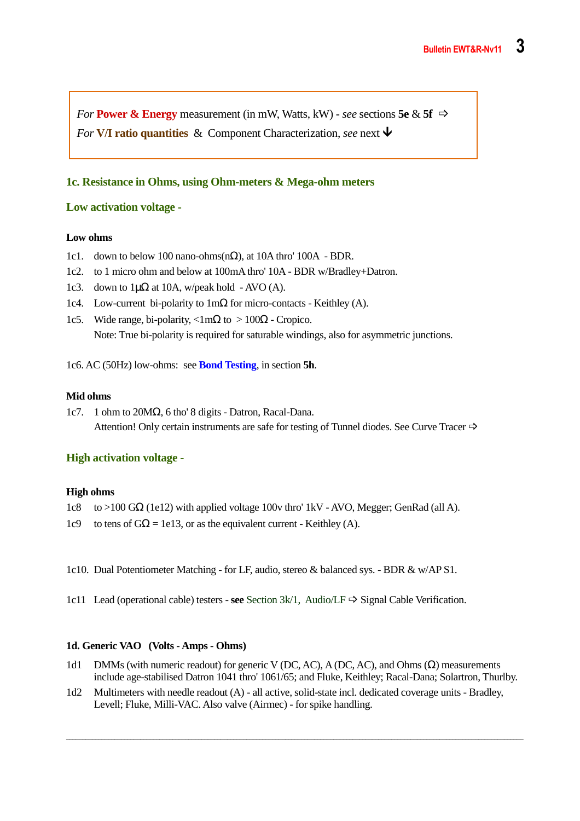*For* **Power & Energy** measurement (in mW, Watts, kW) - *see* sections **5e** & **5f**  $\Rightarrow$ *For* **V/I ratio quantities** & Component Characterization, *see* next  $\blacktriangledown$ 

#### **1c. Resistance in Ohms, using Ohm-meters & Mega-ohm meters**

#### **Low activation voltage -**

#### **Low ohms**

- 1c1. down to below 100 nano-ohms(n $\Omega$ ), at 10A thro' 100A BDR.
- 1c2. to 1 micro ohm and below at 100mA thro' 10A BDR w/Bradley+Datron.
- 1c3. down to  $1\mu\Omega$  at 10A, w/peak hold AVO (A).
- 1c4. Low-current bi-polarity to 1mΩ for micro-contacts Keithley (A).
- 1c5. Wide range, bi-polarity,  $\langle 1 \text{m}\Omega$  to  $> 100\Omega$  Cropico. Note: True bi-polarity is required for saturable windings, also for asymmetric junctions.

1c6. AC (50Hz) low-ohms: see **Bond Testing**, in section **5h**.

#### **Mid ohms**

1c7. 1 ohm to 20MΩ, 6 tho' 8 digits - Datron, Racal-Dana. Attention! Only certain instruments are safe for testing of Tunnel diodes. See Curve Tracer  $\Rightarrow$ 

#### **High activation voltage -**

#### **High ohms**

- 1c8 to >100 GΩ (1e12) with applied voltage 100v thro' 1kV AVO, Megger; GenRad (all A).
- 1c9 to tens of  $G\Omega$  = 1e13, or as the equivalent current Keithley (A).
- 1c10. Dual Potentiometer Matching for LF, audio, stereo & balanced sys. BDR & w/AP S1.
- 1c11 Lead (operational cable) testers **see** Section  $3k/1$ , Audio/LF  $\Rightarrow$  Signal Cable Verification.

#### **1d. Generic VAO (Volts - Amps - Ohms)**

- 1d1 DMMs (with numeric readout) for generic V (DC, AC), A (DC, AC), and Ohms (Ω) measurements include age-stabilised Datron 1041 thro' 1061/65; and Fluke, Keithley; Racal-Dana; Solartron, Thurlby.
- 1d2 Multimeters with needle readout (A) all active, solid-state incl. dedicated coverage units Bradley, Levell; Fluke, Milli-VAC. Also valve (Airmec) - for spike handling.

\_\_\_\_\_\_\_\_\_\_\_\_\_\_\_\_\_\_\_\_\_\_\_\_\_\_\_\_\_\_\_\_\_\_\_\_\_\_\_\_\_\_\_\_\_\_\_\_\_\_\_\_\_\_\_\_\_\_\_\_\_\_\_\_\_\_\_\_\_\_\_\_\_\_\_\_\_\_\_\_\_\_\_\_\_\_\_\_\_\_\_\_\_\_\_\_\_\_\_\_\_\_\_\_\_\_\_\_\_\_\_\_\_\_\_\_\_\_\_\_\_\_\_\_\_\_\_\_\_\_\_\_\_\_\_\_\_\_\_\_\_\_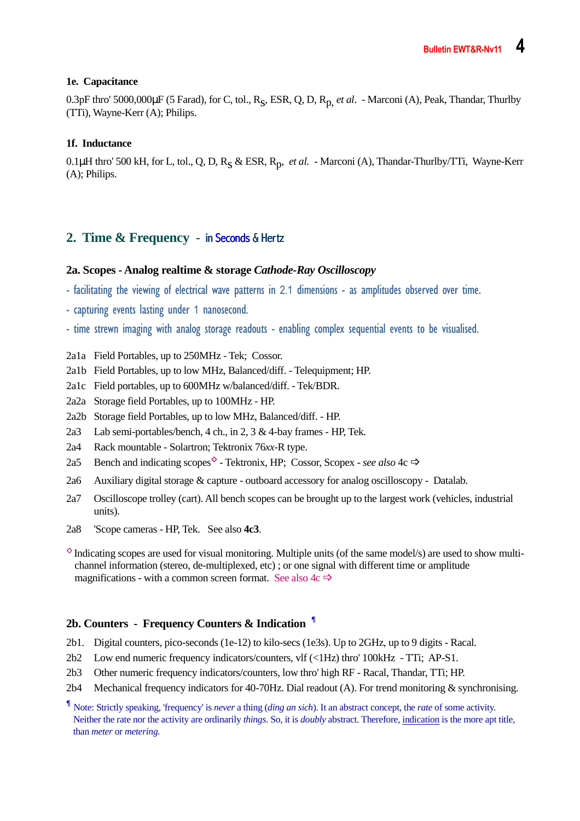#### **1e. Capacitance**

0.3pF thro' 5000,000µF (5 Farad), for C, tol., Rs , ESR, Q, D, Rp, *et al*. - Marconi (A), Peak, Thandar, Thurlby (TTi), Wayne-Kerr (A); Philips.

#### **1f. Inductance**

0.1µH thro' 500 kH, for L, tol., Q, D, R<sub>S</sub> & ESR, R<sub>p</sub>, *et al.* - Marconi (A), Thandar-Thurlby/TTi, Wayne-Kerr (A); Philips.

# **2. Time & Frequency** - in Seconds & Hertz

#### **2a. Scopes - Analog realtime & storage** *Cathode-Ray Oscilloscopy*

- facilitating the viewing of electrical wave patterns in 2.1 dimensions as amplitudes observed over time.
- capturing events lasting under 1 nanosecond.
- time strewn imaging with analog storage readouts enabling complex sequential events to be visualised.
- 2a1a Field Portables, up to 250MHz Tek; Cossor.
- 2a1b Field Portables, up to low MHz, Balanced/diff. Telequipment; HP.
- 2a1c Field portables, up to 600MHz w/balanced/diff. Tek/BDR.
- 2a2a Storage field Portables, up to 100MHz HP.
- 2a2b Storage field Portables, up to low MHz, Balanced/diff. HP.
- 2a3 Lab semi-portables/bench, 4 ch., in 2, 3 & 4-bay frames HP, Tek.
- 2a4 Rack mountable Solartron; Tektronix 76*xx*-R type.
- 2a5 Bench and indicating scopes<sup> $\diamond$ </sup> Tektronix, HP; Cossor, Scopex *see also* 4c  $\Rightarrow$
- 2a6 Auxiliary digital storage & capture outboard accessory for analog oscilloscopy Datalab.
- 2a7 Oscilloscope trolley (cart). All bench scopes can be brought up to the largest work (vehicles, industrial units).
- 2a8 'Scope cameras HP, Tek. See also **4c3**.
- $\Diamond$  Indicating scopes are used for visual monitoring. Multiple units (of the same model/s) are used to show multichannel information (stereo, de-multiplexed, etc) ; or one signal with different time or amplitude magnifications - with a common screen format. See also  $4c \Rightarrow$

#### **2b. Counters - Frequency Counters & Indication ¶**

- 2b1. Digital counters, pico-seconds (1e-12) to kilo-secs (1e3s). Up to 2GHz, up to 9 digits Racal.
- 2b2 Low end numeric frequency indicators/counters, vlf (<1Hz) thro' 100kHz TTi; AP-S1.
- 2b3 Other numeric frequency indicators/counters, low thro' high RF Racal, Thandar, TTi; HP.
- 2b4 Mechanical frequency indicators for 40-70Hz. Dial readout (A). For trend monitoring & synchronising.

**<sup>¶</sup>** Note: Strictly speaking, 'frequency' is *never* a thing (*ding an sich*). It an abstract concept, the *rate* of some activity. Neither the rate nor the activity are ordinarily *things*. So, it is *doubly* abstract. Therefore, indication is the more apt title, than *meter* or *metering.*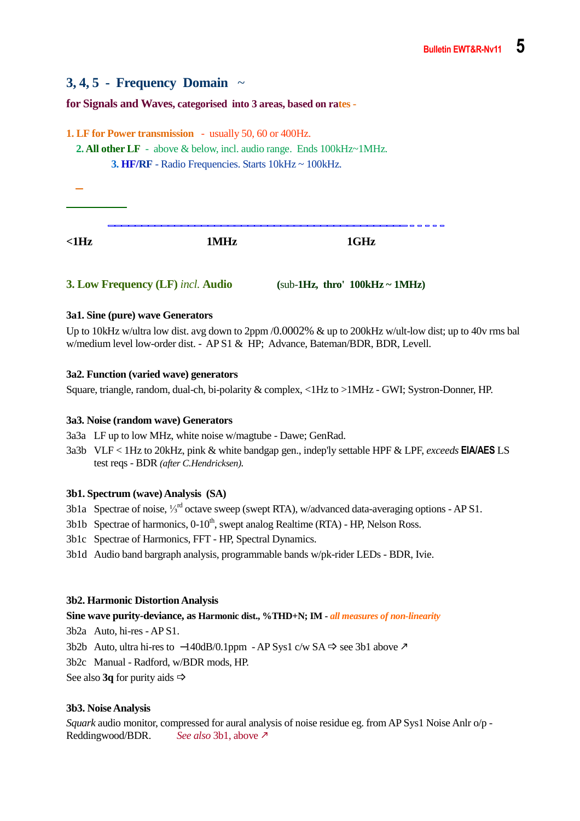# **3, 4, 5 - Frequency Domain** ~

**for Signals and Waves, categorised into 3 areas, based on rates -** 

**1. LF for Power transmission** - usually 50, 60 or 400Hz.  **2. All other LF** - above & below, incl. audio range. Ends 100kHz~1MHz.  **3. HF/RF** - Radio Frequencies. Starts 10kHz ~ 100kHz.  $- - - - - -$ **<1Hz 1MHz 1GHz** 

#### **3. Low Frequency (LF)** *incl.* **Audio (**sub-**1Hz, thro' 100kHz ~ 1MHz)**

#### **3a1. Sine (pure) wave Generators**

Up to 10kHz w/ultra low dist. avg down to 2ppm /0.0002% & up to 200kHz w/ult-low dist; up to 40v rms bal w/medium level low-order dist. - AP S1 & HP; Advance, Bateman/BDR, BDR, Levell.

#### **3a2. Function (varied wave) generators**

Square, triangle, random, dual-ch, bi-polarity & complex, <1Hz to >1MHz - GWI; Systron-Donner, HP.

#### **3a3. Noise (random wave) Generators**

3a3a LF up to low MHz, white noise w/magtube - Dawe; GenRad.

3a3b VLF < 1Hz to 20kHz, pink & white bandgap gen., indep'ly settable HPF & LPF, *exceeds* **EIA/AES** LS test reqs - BDR *(after C.Hendricksen).* 

#### **3b1. Spectrum (wave) Analysis (SA)**

- 3b1a Spectrae of noise,  $\frac{1}{3}$ <sup>rd</sup> octave sweep (swept RTA), w/advanced data-averaging options AP S1.
- 3b1b Spectrae of harmonics,  $0-10^{\text{th}}$ , swept analog Realtime (RTA) HP, Nelson Ross.
- 3b1c Spectrae of Harmonics, FFT HP, Spectral Dynamics.
- 3b1d Audio band bargraph analysis, programmable bands w/pk-rider LEDs BDR, Ivie.

#### **3b2. Harmonic Distortion Analysis**

#### **Sine wave purity-deviance, as Harmonic dist., %THD+N; IM -** *all measures of non-linearity*

3b2a Auto, hi-res - AP S1.

3b2b Auto, ultra hi-res to -140dB/0.1ppm - AP Sys1 c/w SA  $\Rightarrow$  see 3b1 above  $\ge$ 

3b2c Manual - Radford, w/BDR mods, HP.

See also **3q** for purity aids  $\Rightarrow$ 

#### **3b3. Noise Analysis**

*Squark* audio monitor, compressed for aural analysis of noise residue eg. from AP Sys1 Noise Anlr o/p - Reddingwood/BDR. *See also* 3b1, above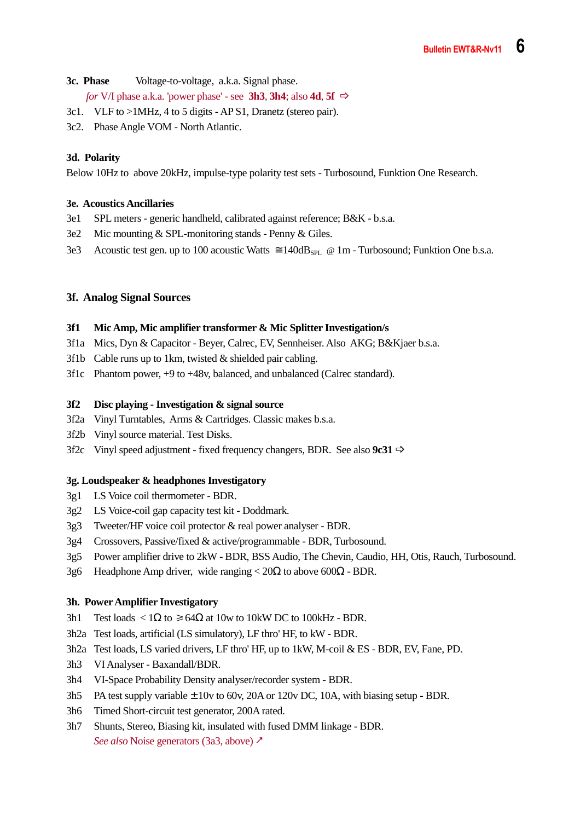- **3c. Phase** Voltage-to-voltage, a.k.a. Signal phase. *for* V/I phase a.k.a. 'power phase' - see **3h3**, **3h4**; also **4d**, **5f**  $\Rightarrow$
- 3c1. VLF to >1MHz, 4 to 5 digits AP S1, Dranetz (stereo pair).
- 3c2. Phase Angle VOM North Atlantic.

#### **3d. Polarity**

Below 10Hz to above 20kHz, impulse-type polarity test sets - Turbosound, Funktion One Research.

#### **3e. Acoustics Ancillaries**

- 3e1 SPL meters generic handheld, calibrated against reference; B&K b.s.a.
- 3e2 Mic mounting & SPL-monitoring stands Penny & Giles.
- 3e3 Acoustic test gen. up to 100 acoustic Watts  $\approx 140 \text{dB}_{SPL}$  @ 1m Turbosound; Funktion One b.s.a.

#### **3f. Analog Signal Sources**

#### **3f1 Mic Amp, Mic amplifier transformer & Mic Splitter Investigation/s**

- 3f1a Mics, Dyn & Capacitor Beyer, Calrec, EV, Sennheiser. Also AKG; B&Kjaer b.s.a.
- 3f1b Cable runs up to 1km, twisted & shielded pair cabling.
- 3f1c Phantom power, +9 to +48v, balanced, and unbalanced (Calrec standard).

#### **3f2 Disc playing - Investigation & signal source**

- 3f2a Vinyl Turntables, Arms & Cartridges. Classic makes b.s.a.
- 3f2b Vinyl source material. Test Disks.
- 3f2c Vinyl speed adjustment fixed frequency changers, BDR. See also **9c31**

#### **3g. Loudspeaker & headphones Investigatory**

- 3g1 LS Voice coil thermometer BDR.
- 3g2 LS Voice-coil gap capacity test kit Doddmark.
- 3g3 Tweeter/HF voice coil protector & real power analyser BDR.
- 3g4 Crossovers, Passive/fixed & active/programmable BDR, Turbosound.
- 3g5 Power amplifier drive to 2kW BDR, BSS Audio, The Chevin, Caudio, HH, Otis, Rauch, Turbosound.
- 3g6 Headphone Amp driver, wide ranging <  $20\Omega$  to above 600 $\Omega$  BDR.

#### **3h. Power Amplifier Investigatory**

- 3h1 Test loads < 1Ω to  $\geq 64Ω$  at 10w to 10kW DC to 100kHz BDR.
- 3h2a Test loads, artificial (LS simulatory), LF thro' HF, to kW BDR.
- 3h2a Test loads, LS varied drivers, LF thro' HF, up to 1kW, M-coil & ES BDR, EV, Fane, PD.
- 3h3 VI Analyser Baxandall/BDR.
- 3h4 VI-Space Probability Density analyser/recorder system BDR.
- 3h5 PA test supply variable  $\pm$  10v to 60v, 20A or 120v DC, 10A, with biasing setup BDR.
- 3h6 Timed Short-circuit test generator, 200A rated.
- 3h7 Shunts, Stereo, Biasing kit, insulated with fused DMM linkage BDR. *See also* Noise generators (3a3, above) ∕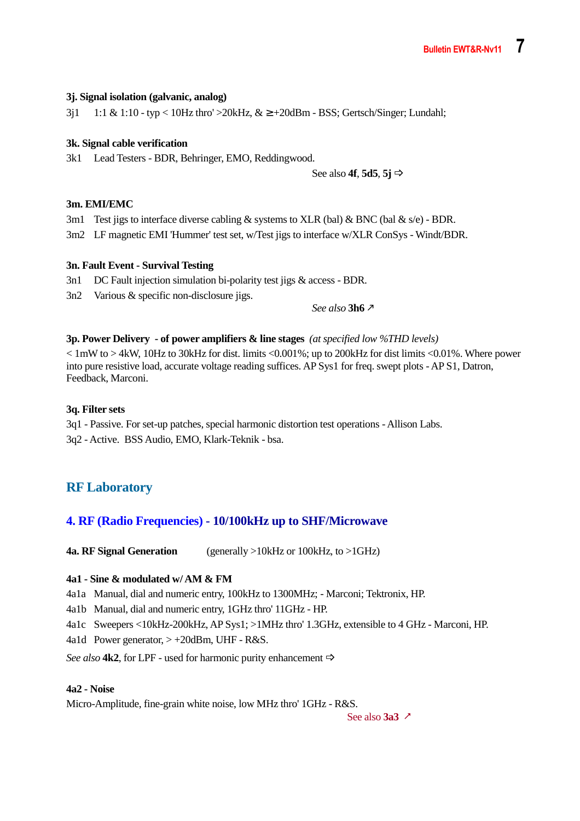#### **3j. Signal isolation (galvanic, analog)**

 $3j1$  1:1 & 1:10 - typ < 10Hz thro' >20kHz, &  $\geq$  +20dBm - BSS; Gertsch/Singer; Lundahl;

#### **3k. Signal cable verification**

3k1 Lead Testers - BDR, Behringer, EMO, Reddingwood.

See also **4f**, **5d5**, **5j**

#### **3m. EMI/EMC**

3m1 Test jigs to interface diverse cabling  $\&$  systems to XLR (bal)  $\&$  BNC (bal  $\&$  s/e) - BDR.

3m2 LF magnetic EMI 'Hummer' test set, w/Test jigs to interface w/XLR ConSys - Windt/BDR.

#### **3n. Fault Event - Survival Testing**

3n1 DC Fault injection simulation bi-polarity test jigs & access - BDR.

3n2 Various & specific non-disclosure jigs.

 *See also* **3h6**

#### **3p. Power Delivery - of power amplifiers & line stages** *(at specified low %THD levels)*

 $< 1$  mW to  $> 4$ kW, 10Hz to 30kHz for dist. limits  $< 0.001\%$ ; up to 200kHz for dist limits  $< 0.01\%$ . Where power into pure resistive load, accurate voltage reading suffices. AP Sys1 for freq. swept plots - AP S1, Datron, Feedback, Marconi.

#### **3q. Filter sets**

3q1 - Passive. For set-up patches, special harmonic distortion test operations - Allison Labs. 3q2 - Active. BSS Audio, EMO, Klark-Teknik - bsa.

# **RF Laboratory**

#### **4. RF (Radio Frequencies) - 10/100kHz up to SHF/Microwave**

**4a. RF Signal Generation** (generally >10kHz or 100kHz, to >1GHz)

#### **4a1 - Sine & modulated w/ AM & FM**

4a1a Manual, dial and numeric entry, 100kHz to 1300MHz; - Marconi; Tektronix, HP.

4a1b Manual, dial and numeric entry, 1GHz thro' 11GHz - HP.

4a1c Sweepers <10kHz-200kHz, AP Sys1; >1MHz thro' 1.3GHz, extensible to 4 GHz - Marconi, HP.

4a1d Power generator, > +20dBm, UHF - R&S.

*See also* **4k2**, for LPF - used for harmonic purity enhancement  $\Rightarrow$ 

#### **4a2 - Noise**

Micro-Amplitude, fine-grain white noise, low MHz thro' 1GHz - R&S.

See also **3a3**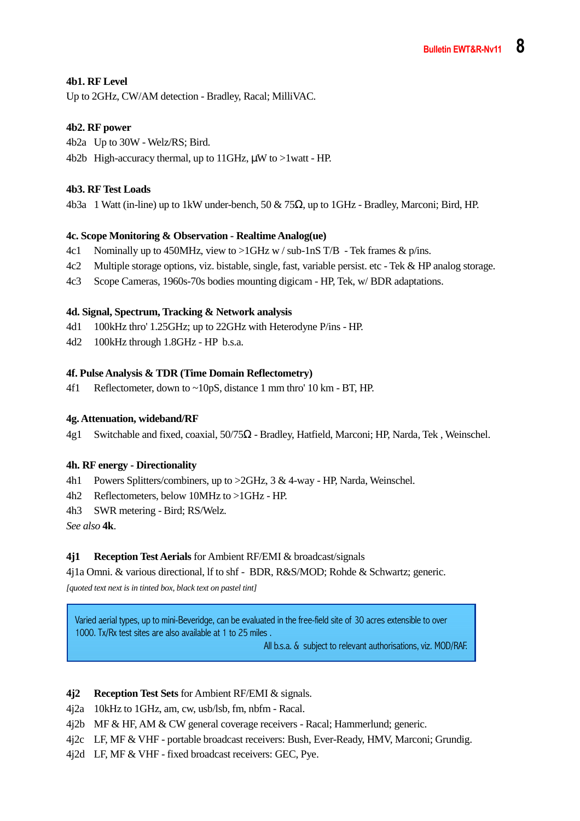#### **4b1. RF Level**

Up to 2GHz, CW/AM detection - Bradley, Racal; MilliVAC.

#### **4b2. RF power**

- 4b2a Up to 30W Welz/RS; Bird.
- 4b2b High-accuracy thermal, up to 11GHz,  $\mu$ W to >1watt HP.

#### **4b3. RF Test Loads**

4b3a 1 Watt (in-line) up to 1kW under-bench,  $50 \& 75\Omega$ , up to 1GHz - Bradley, Marconi; Bird, HP.

#### **4c. Scope Monitoring & Observation - Realtime Analog(ue)**

- 4c1 Nominally up to 450MHz, view to  $>1$ GHz w / sub-1nS T/B Tek frames & p/ins.
- 4c2 Multiple storage options, viz. bistable, single, fast, variable persist. etc Tek & HP analog storage.
- 4c3 Scope Cameras, 1960s-70s bodies mounting digicam HP, Tek, w/ BDR adaptations.

#### **4d. Signal, Spectrum, Tracking & Network analysis**

- 4d1 100kHz thro' 1.25GHz; up to 22GHz with Heterodyne P/ins HP.
- 4d2 100kHz through 1.8GHz HP b.s.a.

#### **4f. Pulse Analysis & TDR (Time Domain Reflectometry)**

4f1 Reflectometer, down to ~10pS, distance 1 mm thro' 10 km - BT, HP.

#### **4g. Attenuation, wideband/RF**

4g1 Switchable and fixed, coaxial, 50/75Ω - Bradley, Hatfield, Marconi; HP, Narda, Tek , Weinschel.

#### **4h. RF energy - Directionality**

- 4h1 Powers Splitters/combiners, up to >2GHz, 3 & 4-way HP, Narda, Weinschel.
- 4h2 Reflectometers, below 10MHz to >1GHz HP.
- 4h3 SWR metering Bird; RS/Welz.

*See also* **4k**.

#### **4j1 Reception Test Aerials** for Ambient RF/EMI & broadcast/signals

4j1a Omni. & various directional, lf to shf - BDR, R&S/MOD; Rohde & Schwartz; generic.

*[quoted text next is in tinted box, black text on pastel tint]* 

Varied aerial types, up to mini-Beveridge, can be evaluated in the free-field site of 30 acres extensible to over 1000. Tx/Rx test sites are also available at 1 to 25 miles .

All b.s.a. & subject to relevant authorisations, viz. MOD/RAF.

#### **4j2 Reception Test Sets** for Ambient RF/EMI & signals.

4j2a 10kHz to 1GHz, am, cw, usb/lsb, fm, nbfm - Racal.

- 4j2b MF & HF, AM & CW general coverage receivers Racal; Hammerlund; generic.
- 4j2c LF, MF & VHF portable broadcast receivers: Bush, Ever-Ready, HMV, Marconi; Grundig.
- 4j2d LF, MF & VHF fixed broadcast receivers: GEC, Pye.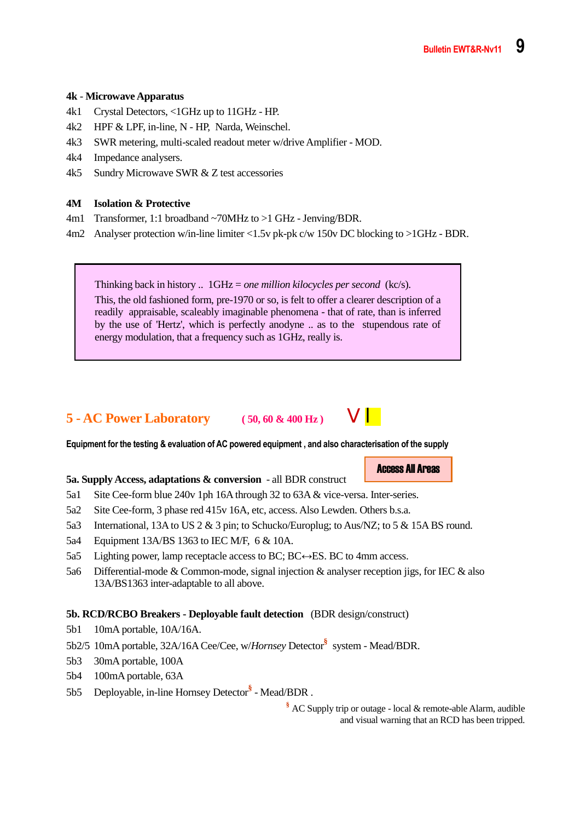#### **4k** - **Microwave Apparatus**

- 4k1 Crystal Detectors, <1GHz up to 11GHz HP.
- 4k2 HPF & LPF, in-line, N HP, Narda, Weinschel.
- 4k3 SWR metering, multi-scaled readout meter w/drive Amplifier MOD.
- 4k4 Impedance analysers.
- 4k5 Sundry Microwave SWR & Z test accessories

#### **4M Isolation & Protective**

- 4m1 Transformer, 1:1 broadband ~70MHz to >1 GHz Jenving/BDR.
- 4m2 Analyser protection w/in-line limiter <1.5v pk-pk c/w 150v DC blocking to >1GHz BDR.

Thinking back in history .. 1GHz = *one million kilocycles per second* (kc/s).

This, the old fashioned form, pre-1970 or so, is felt to offer a clearer description of a readily appraisable, scaleably imaginable phenomena - that of rate, than is inferred by the use of 'Hertz', which is perfectly anodyne .. as to the stupendous rate of energy modulation, that a frequency such as 1GHz, really is.

# **5 - AC Power Laboratory** (50, 60 & 400 Hz)



**Equipment for the testing & evaluation of AC powered equipment , and also characterisation of the supply** 

#### **5a. Supply Access, adaptations & conversion** - all BDR construct

- 5a1 Site Cee-form blue 240v 1ph 16A through 32 to 63A & vice-versa. Inter-series.
- 5a2 Site Cee-form, 3 phase red 415v 16A, etc, access. Also Lewden. Others b.s.a.
- 5a3 International, 13A to US 2 & 3 pin; to Schucko/Europlug; to Aus/NZ; to 5 & 15A BS round.
- 5a4 Equipment 13A/BS 1363 to IEC M/F, 6 & 10A.
- 5a5 Lighting power, lamp receptacle access to BC; BC $\leftrightarrow$ ES. BC to 4mm access.
- 5a6 Differential-mode & Common-mode, signal injection & analyser reception jigs, for IEC & also 13A/BS1363 inter-adaptable to all above.

#### **5b. RCD/RCBO Breakers - Deployable fault detection** (BDR design/construct)

- 5b1 10mA portable, 10A/16A.
- 5b2/5 10mA portable, 32A/16A Cee/Cee, w/*Hornsey* Detector**§** system Mead/BDR.
- 5b3 30mA portable, 100A
- 5b4 100mA portable, 63A
- 5b5 Deployable, in-line Hornsey Detector<sup>§</sup> Mead/BDR.

 **§** AC Supply trip or outage - local & remote-able Alarm, audible and visual warning that an RCD has been tripped.

Access All Areas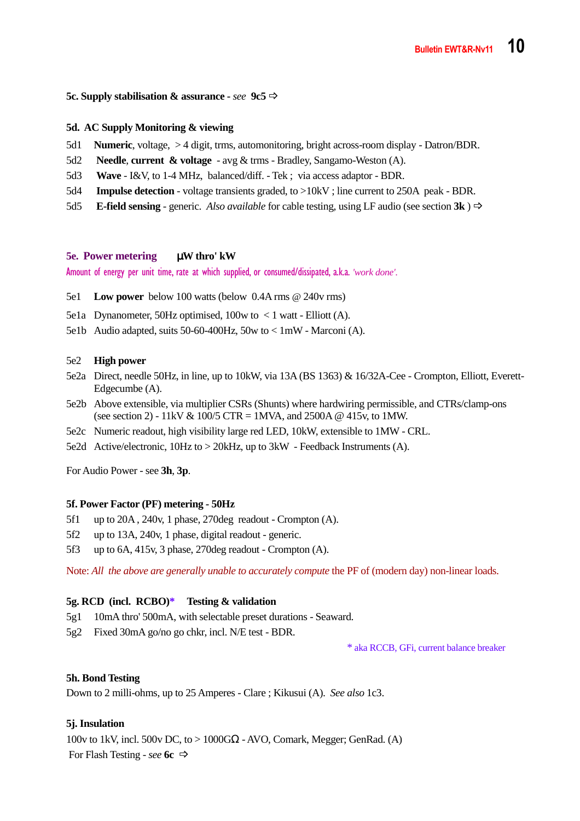#### **5c. Supply stabilisation & assurance -** *see* **9c5**

#### **5d. AC Supply Monitoring & viewing**

- 5d1 **Numeric**, voltage, > 4 digit, trms, automonitoring, bright across-room display Datron/BDR.
- 5d2 **Needle**, **current & voltage** avg & trms Bradley, Sangamo-Weston (A).
- 5d3 **Wave** I&V, to 1-4 MHz, balanced/diff. Tek ; via access adaptor BDR.
- 5d4 **Impulse detection** voltage transients graded, to >10kV ; line current to 250A peak BDR.
- 5d5 **E-field sensing** generic. *Also available* for cable testing, using LF audio (see section **3k** )

#### **5e. Power metering** µ**W thro' kW**

Amount of energy per unit time, rate at which supplied, or consumed/dissipated, a.k.a. *'work done'.*

- 5e1 **Low power** below 100 watts (below 0.4A rms @ 240v rms)
- 5e1a Dynanometer, 50Hz optimised, 100w to  $\lt$  1 watt Elliott (A).
- 5e1b Audio adapted, suits 50-60-400Hz, 50w to < 1mW Marconi (A).

#### 5e2 **High power**

- 5e2a Direct, needle 50Hz, in line, up to 10kW, via 13A (BS 1363) & 16/32A-Cee Crompton, Elliott, Everett-Edgecumbe (A).
- 5e2b Above extensible, via multiplier CSRs (Shunts) where hardwiring permissible, and CTRs/clamp-ons (see section 2) - 11kV & 100/5 CTR = 1MVA, and 2500A @ 415v, to 1MW.
- 5e2c Numeric readout, high visibility large red LED, 10kW, extensible to 1MW CRL.
- 5e2d Active/electronic, 10Hz to > 20kHz, up to 3kW Feedback Instruments (A).

For Audio Power - see **3h**, **3p**.

#### **5f. Power Factor (PF) metering - 50Hz**

- 5f1 up to 20A , 240v, 1 phase, 270deg readout Crompton (A).
- 5f2 up to 13A, 240v, 1 phase, digital readout generic.
- 5f3 up to 6A, 415v, 3 phase, 270deg readout Crompton (A).

Note: *All the above are generally unable to accurately compute* the PF of (modern day) non-linear loads.

#### **5g. RCD (incl. RCBO)\* Testing & validation**

- 5g1 10mA thro' 500mA, with selectable preset durations Seaward.
- 5g2 Fixed 30mA go/no go chkr, incl. N/E test BDR.

\* aka RCCB, GFi, current balance breaker

#### **5h. Bond Testing**

Down to 2 milli-ohms, up to 25 Amperes - Clare ; Kikusui (A). *See also* 1c3.

#### **5j. Insulation**

100v to 1kV, incl. 500v DC, to > 1000GΩ - AVO, Comark, Megger; GenRad. (A) For Flash Testing - *see* **6c**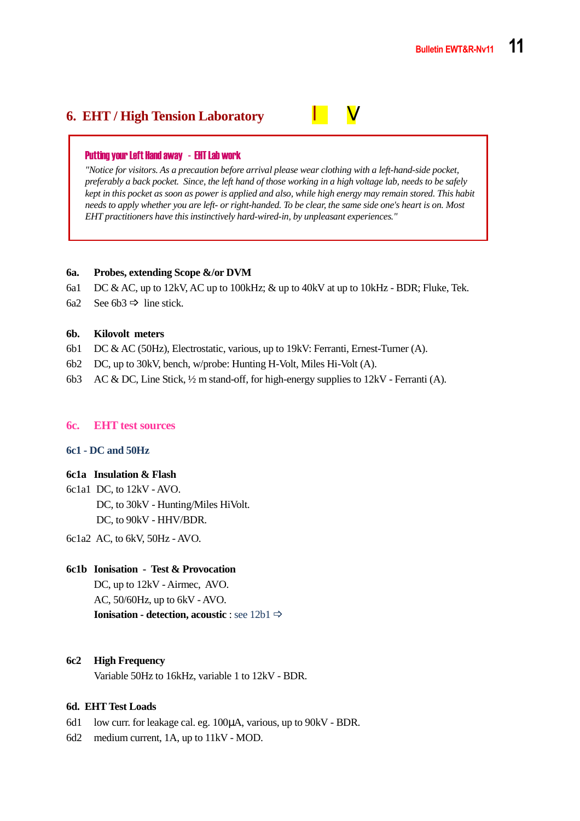# **6. EHT / High Tension Laboratory l** V

#### Putting your Left Hand away - EHT Lab work

*"Notice for visitors. As a precaution before arrival please wear clothing with a left-hand-side pocket, preferably a back pocket. Since, the left hand of those working in a high voltage lab, needs to be safely kept in this pocket as soon as power is applied and also, while high energy may remain stored. This habit needs to apply whether you are left- or right-handed. To be clear, the same side one's heart is on. Most EHT practitioners have this instinctively hard-wired-in, by unpleasant experiences."* 

#### **6a. Probes, extending Scope &/or DVM**

- 6a1 DC & AC, up to 12kV, AC up to 100kHz; & up to 40kV at up to 10kHz BDR; Fluke, Tek.
- 6a2 See 6b3  $\Rightarrow$  line stick.

#### **6b. Kilovolt meters**

- 6b1 DC & AC (50Hz), Electrostatic, various, up to 19kV: Ferranti, Ernest-Turner (A).
- 6b2 DC, up to 30kV, bench, w/probe: Hunting H-Volt, Miles Hi-Volt (A).
- 6b3 AC & DC, Line Stick,  $\frac{1}{2}$  m stand-off, for high-energy supplies to 12kV Ferranti (A).

#### **6c. EHT test sources**

#### **6c1 - DC and 50Hz**

#### **6c1a Insulation & Flash**

- 6c1a1 DC, to 12kV AVO. DC, to 30kV - Hunting/Miles HiVolt. DC, to 90kV - HHV/BDR.
- 6c1a2 AC, to 6kV, 50Hz AVO.

#### **6c1b Ionisation - Test & Provocation**

 DC, up to 12kV - Airmec, AVO. AC, 50/60Hz, up to 6kV - AVO. **Ionisation - detection, acoustic** : see 12b1 **⇒** 

#### **6c2 High Frequency**

Variable 50Hz to 16kHz, variable 1 to 12kV - BDR.

#### **6d. EHT Test Loads**

- 6d1 low curr. for leakage cal. eg. 100µA, various, up to 90kV BDR.
- 6d2 medium current, 1A, up to 11kV MOD.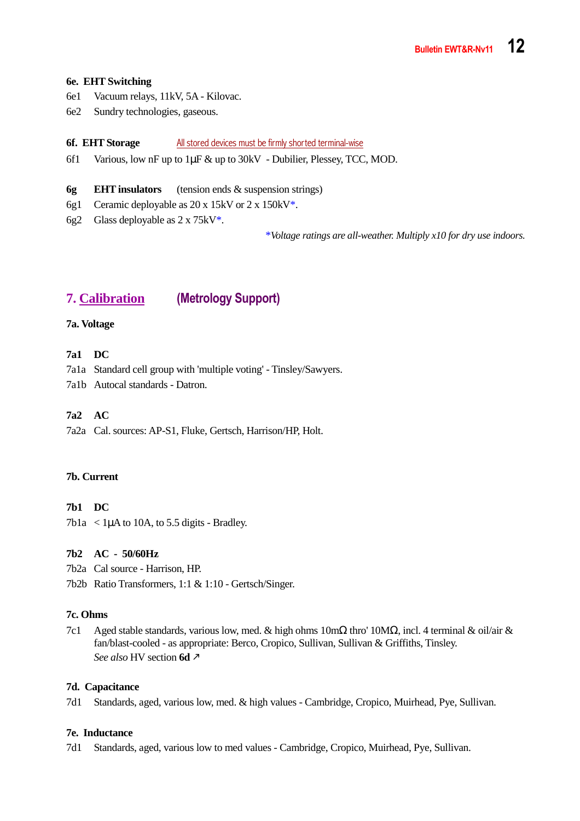#### **6e. EHT Switching**

- 6e1 Vacuum relays, 11kV, 5A Kilovac.
- 6e2 Sundry technologies, gaseous.

#### **6f. EHT Storage** All stored devices must be firmly shorted terminal-wise

6f1 Various, low nF up to 1µF & up to 30kV - Dubilier, Plessey, TCC, MOD.

#### **6g EHT insulators** (tension ends & suspension strings)

- 6g1 Ceramic deployable as 20 x 15kV or 2 x 150kV\*.
- 6g2 Glass deployable as 2 x 75kV\*.

\**Voltage ratings are all-weather. Multiply x10 for dry use indoors.* 

# **7. Calibration (Metrology Support)**

#### **7a. Voltage**

#### **7a1 DC**

7a1a Standard cell group with 'multiple voting' - Tinsley/Sawyers.

7a1b Autocal standards - Datron.

#### **7a2 AC**

7a2a Cal. sources: AP-S1, Fluke, Gertsch, Harrison/HP, Holt.

#### **7b. Current**

#### **7b1 DC**

 $7b1a < 1\mu A$  to 10A, to 5.5 digits - Bradley.

#### **7b2 AC - 50/60Hz**

7b2a Cal source - Harrison, HP.

7b2b Ratio Transformers, 1:1 & 1:10 - Gertsch/Singer.

#### **7c. Ohms**

7c1 Aged stable standards, various low, med. & high ohms 10mΩ thro' 10MΩ, incl. 4 terminal & oil/air & fan/blast-cooled - as appropriate: Berco, Cropico, Sullivan, Sullivan & Griffiths, Tinsley. *See also* HV section **6d**

#### **7d. Capacitance**

7d1 Standards, aged, various low, med. & high values - Cambridge, Cropico, Muirhead, Pye, Sullivan.

#### **7e. Inductance**

7d1 Standards, aged, various low to med values - Cambridge, Cropico, Muirhead, Pye, Sullivan.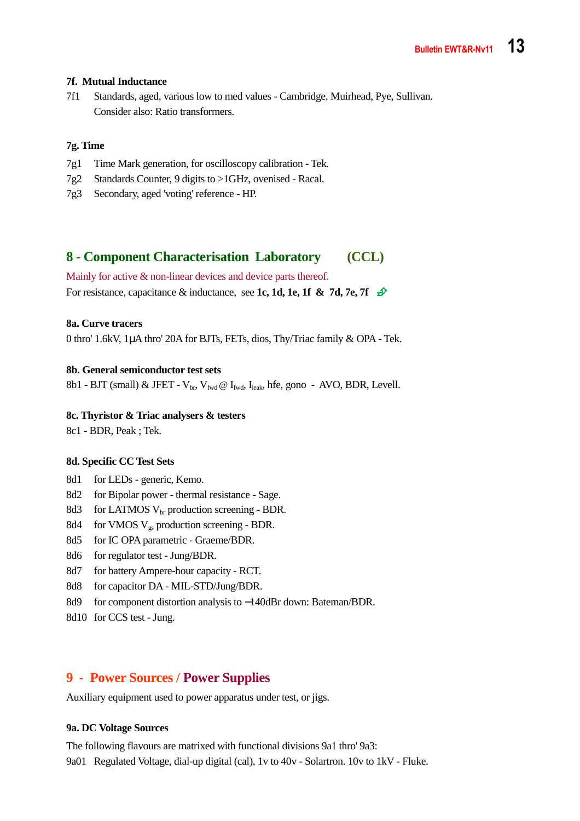#### **7f. Mutual Inductance**

7f1 Standards, aged, various low to med values - Cambridge, Muirhead, Pye, Sullivan. Consider also: Ratio transformers.

#### **7g. Time**

- 7g1 Time Mark generation, for oscilloscopy calibration Tek.
- 7g2 Standards Counter, 9 digits to >1GHz, ovenised Racal.
- 7g3 Secondary, aged 'voting' reference HP.

# **8 - Component Characterisation Laboratory (CCL)**

Mainly for active  $\&$  non-linear devices and device parts thereof.

For resistance, capacitance & inductance, see 1c, 1d, 1e, 1f & 7d, 7e, 7f  $\hat{\mathcal{D}}$ 

#### **8a. Curve tracers**

0 thro' 1.6kV, 1µA thro' 20A for BJTs, FETs, dios, Thy/Triac family & OPA - Tek.

#### **8b. General semiconductor test sets**

8b1 - BJT (small) & JFET -  $V_{\text{br}}$ ,  $V_{\text{fwd}}$  @  $I_{\text{fwd}}$ ,  $I_{\text{leak}}$ , hfe, gono - AVO, BDR, Levell.

#### **8c. Thyristor & Triac analysers & testers**

8c1 - BDR, Peak ; Tek.

#### **8d. Specific CC Test Sets**

- 8d1 for LEDs generic, Kemo.
- 8d2 for Bipolar power thermal resistance Sage.
- 8d3 for LATMOS  $V_{\text{br}}$  production screening BDR.
- 8d4 for VMOS V<sub>gs</sub> production screening BDR.
- 8d5 for IC OPA parametric Graeme/BDR.
- 8d6 for regulator test Jung/BDR.
- 8d7 for battery Ampere-hour capacity RCT.
- 8d8 for capacitor DA MIL-STD/Jung/BDR.
- 8d9 for component distortion analysis to −140dBr down: Bateman/BDR.
- 8d10 for CCS test Jung.

#### **9 - Power Sources / Power Supplies**

Auxiliary equipment used to power apparatus under test, or jigs.

#### **9a. DC Voltage Sources**

The following flavours are matrixed with functional divisions 9a1 thro' 9a3:

9a01 Regulated Voltage, dial-up digital (cal), 1v to 40v - Solartron. 10v to 1kV - Fluke.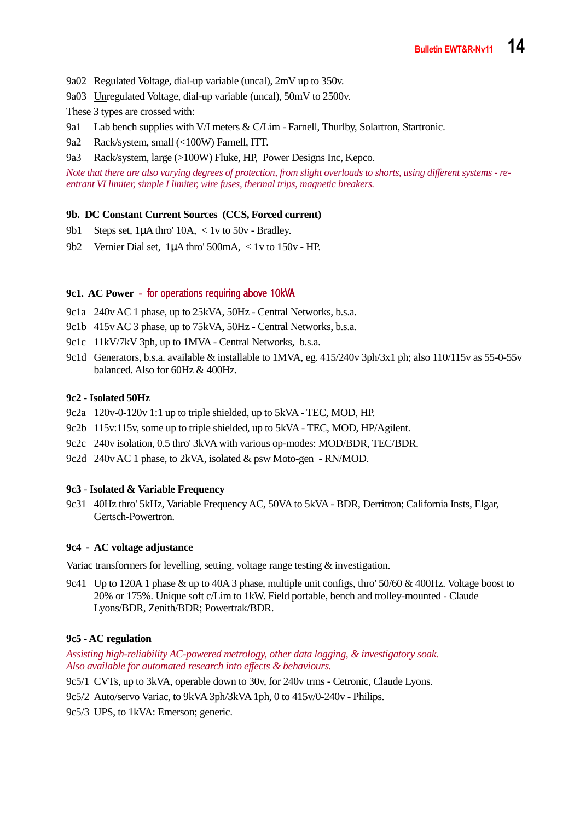- 9a02 Regulated Voltage, dial-up variable (uncal), 2mV up to 350v.
- 9a03 Unregulated Voltage, dial-up variable (uncal), 50mV to 2500v.

These 3 types are crossed with:

- 9a1 Lab bench supplies with V/I meters & C/Lim Farnell, Thurlby, Solartron, Startronic.
- 9a2 Rack/system, small (<100W) Farnell, ITT.
- 9a3 Rack/system, large (>100W) Fluke, HP, Power Designs Inc, Kepco.

*Note that there are also varying degrees of protection, from slight overloads to shorts, using different systems - reentrant VI limiter, simple I limiter, wire fuses, thermal trips, magnetic breakers.* 

#### **9b. DC Constant Current Sources (CCS, Forced current)**

- 9b1 Steps set, 1uA thro' 10A, < 1y to 50y Bradley.
- 9b2 Vernier Dial set, 1µA thro' 500mA, < 1v to 150v HP.

#### **9c1. AC Power - for operations requiring above 10kVA**

- 9c1a 240v AC 1 phase, up to 25kVA, 50Hz Central Networks, b.s.a.
- 9c1b 415v AC 3 phase, up to 75kVA, 50Hz Central Networks, b.s.a.
- 9c1c 11kV/7kV 3ph, up to 1MVA Central Networks, b.s.a.
- 9c1d Generators, b.s.a. available & installable to 1MVA, eg. 415/240v 3ph/3x1 ph; also 110/115v as 55-0-55v balanced. Also for 60Hz & 400Hz.

#### **9c2 - Isolated 50Hz**

- 9c2a 120v-0-120v 1:1 up to triple shielded, up to 5kVA TEC, MOD, HP.
- 9c2b 115v:115v, some up to triple shielded, up to 5kVA TEC, MOD, HP/Agilent.
- 9c2c 240v isolation, 0.5 thro' 3kVA with various op-modes: MOD/BDR, TEC/BDR.
- 9c2d 240v AC 1 phase, to 2kVA, isolated & psw Moto-gen RN/MOD.

#### **9c3** - **Isolated & Variable Frequency**

9c31 40Hz thro' 5kHz, Variable Frequency AC, 50VA to 5kVA - BDR, Derritron; California Insts, Elgar, Gertsch-Powertron.

#### **9c4 - AC voltage adjustance**

Variac transformers for levelling, setting, voltage range testing & investigation.

9c41 Up to 120A 1 phase & up to 40A 3 phase, multiple unit configs, thro' 50/60 & 400Hz. Voltage boost to 20% or 175%. Unique soft c/Lim to 1kW. Field portable, bench and trolley-mounted - Claude Lyons/BDR, Zenith/BDR; Powertrak/BDR.

#### **9c5 - AC regulation**

*Assisting high-reliability AC-powered metrology, other data logging, & investigatory soak. Also available for automated research into effects & behaviours.* 

- 9c5/1 CVTs, up to 3kVA, operable down to 30v, for 240v trms Cetronic, Claude Lyons.
- 9c5/2 Auto/servo Variac, to 9kVA 3ph/3kVA 1ph, 0 to 415v/0-240v Philips.
- 9c5/3 UPS, to 1kVA: Emerson; generic.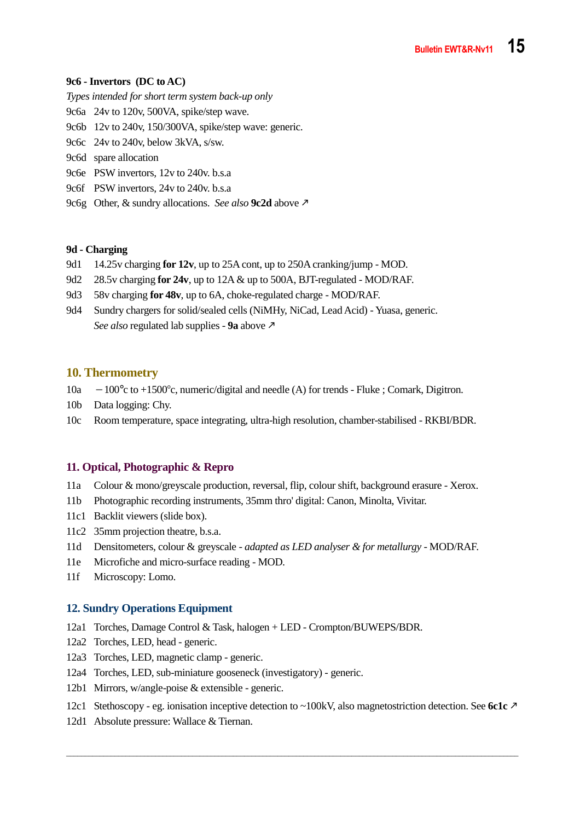#### **9c6 - Invertors (DC to AC)**

- *Types intended for short term system back-up only*
- 9c6a 24v to 120v, 500VA, spike/step wave.
- 9c6b 12v to 240v, 150/300VA, spike/step wave: generic.
- 9c6c 24v to 240v, below 3kVA, s/sw.
- 9c6d spare allocation
- 9c6e PSW invertors, 12v to 240v. b.s.a
- 9c6f PSW invertors, 24v to 240v. b.s.a
- 9c6g Other, & sundry allocations. *See also* **9c2d** above

#### **9d - Charging**

- 9d1 14.25v charging **for 12v**, up to 25A cont, up to 250A cranking/jump MOD.
- 9d2 28.5v charging **for 24v**, up to 12A & up to 500A, BJT-regulated MOD/RAF.
- 9d3 58v charging **for 48v**, up to 6A, choke-regulated charge MOD/RAF.
- 9d4 Sundry chargers for solid/sealed cells (NiMHy, NiCad, Lead Acid) Yuasa, generic.  *See also* regulated lab supplies - **9a** above

#### **10. Thermometry**

- 10a −100°c to +1500c, numeric/digital and needle (A) for trends Fluke ; Comark, Digitron.
- 10b Data logging: Chy.
- 10c Room temperature, space integrating, ultra-high resolution, chamber-stabilised RKBI/BDR.

#### **11. Optical, Photographic & Repro**

- 11a Colour & mono/greyscale production, reversal, flip, colour shift, background erasure Xerox.
- 11b Photographic recording instruments, 35mm thro' digital: Canon, Minolta, Vivitar.
- 11c1 Backlit viewers (slide box).
- 11c2 35mm projection theatre, b.s.a.
- 11d Densitometers, colour & greyscale *adapted as LED analyser & for metallurgy* MOD/RAF.
- 11e Microfiche and micro-surface reading MOD.
- 11f Microscopy: Lomo.

#### **12. Sundry Operations Equipment**

- 12a1 Torches, Damage Control & Task, halogen + LED Crompton/BUWEPS/BDR.
- 12a2 Torches, LED, head generic.
- 12a3 Torches, LED, magnetic clamp generic.
- 12a4 Torches, LED, sub-miniature gooseneck (investigatory) generic.
- 12b1 Mirrors, w/angle-poise & extensible generic.
- 12c1 Stethoscopy eg. ionisation inceptive detection to ~100kV, also magnetostriction detection. See **6c1c**

\_\_\_\_\_\_\_\_\_\_\_\_\_\_\_\_\_\_\_\_\_\_\_\_\_\_\_\_\_\_\_\_\_\_\_\_\_\_\_\_\_\_\_\_\_\_\_\_\_\_\_\_\_\_\_\_\_\_\_\_\_\_\_\_\_\_\_\_\_\_\_\_\_\_\_\_\_\_\_\_\_\_\_\_\_\_\_\_\_\_\_\_\_\_\_\_\_\_\_\_\_\_\_\_\_\_\_\_\_\_\_\_\_\_\_\_\_\_\_\_\_\_

12d1 Absolute pressure: Wallace & Tiernan.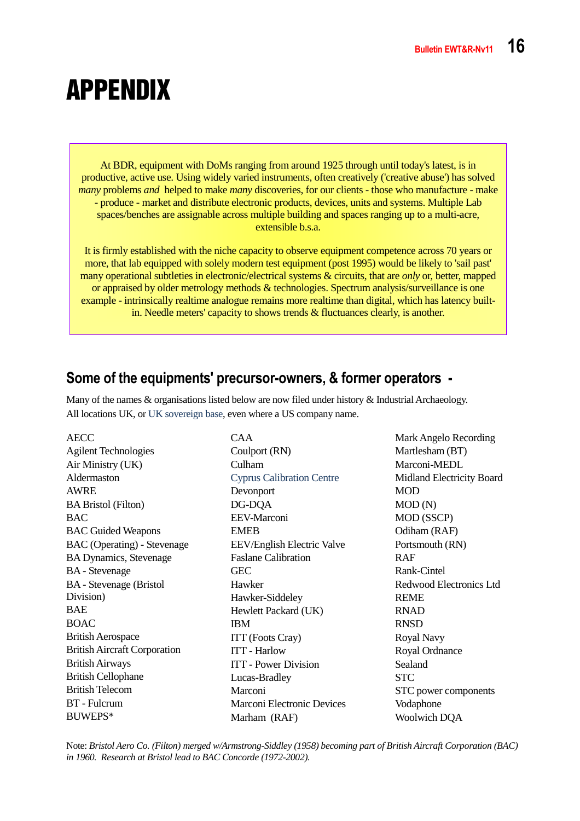# APPENDIX

At BDR, equipment with DoMs ranging from around 1925 through until today's latest, is in productive, active use. Using widely varied instruments, often creatively ('creative abuse') has solved *many* problems *and* helped to make *many* discoveries, for our clients - those who manufacture - make - produce - market and distribute electronic products, devices, units and systems. Multiple Lab spaces/benches are assignable across multiple building and spaces ranging up to a multi-acre, extensible b.s.a.

It is firmly established with the niche capacity to observe equipment competence across 70 years or more, that lab equipped with solely modern test equipment (post 1995) would be likely to 'sail past' many operational subtleties in electronic/electrical systems & circuits, that are *only* or, better, mapped or appraised by older metrology methods & technologies. Spectrum analysis/surveillance is one example - intrinsically realtime analogue remains more realtime than digital, which has latency builtin. Needle meters' capacity to shows trends & fluctuances clearly, is another.

# **Some of the equipments' precursor-owners, & former operators -**

Many of the names & organisations listed below are now filed under history & Industrial Archaeology. All locations UK, or UK sovereign base, even where a US company name.

AECC Agilent Technologies Air Ministry (UK) Aldermaston AWRE BA Bristol (Filton) BAC BAC Guided Weapons BAC (Operating) - Stevenage BA Dynamics, Stevenage BA - Stevenage BA - Stevenage (Bristol Division) BAE BOAC British Aerospace British Aircraft Corporation British Airways British Cellophane British Telecom BT - Fulcrum BUWEPS\*

CAA Coulport (RN) Culham Cyprus Calibration Centre Devonport DG-DQA EEV-Marconi EMEB EEV/English Electric Valve Faslane Calibration **GEC** Hawker Hawker-Siddeley Hewlett Packard (UK) IBM ITT (Foots Cray) ITT - Harlow ITT - Power Division Lucas-Bradley Marconi Marconi Electronic Devices Marham (RAF)

Mark Angelo Recording Martlesham (BT) Marconi-MEDL Midland Electricity Board MOD MOD (N) MOD (SSCP) Odiham (RAF) Portsmouth (RN) RAF Rank-Cintel Redwood Electronics Ltd REME RNAD RNSD Royal Navy Royal Ordnance Sealand STC STC power components Vodaphone Woolwich DQA

Note: *Bristol Aero Co. (Filton) merged w/Armstrong-Siddley (1958) becoming part of British Aircraft Corporation (BAC) in 1960. Research at Bristol lead to BAC Concorde (1972-2002).*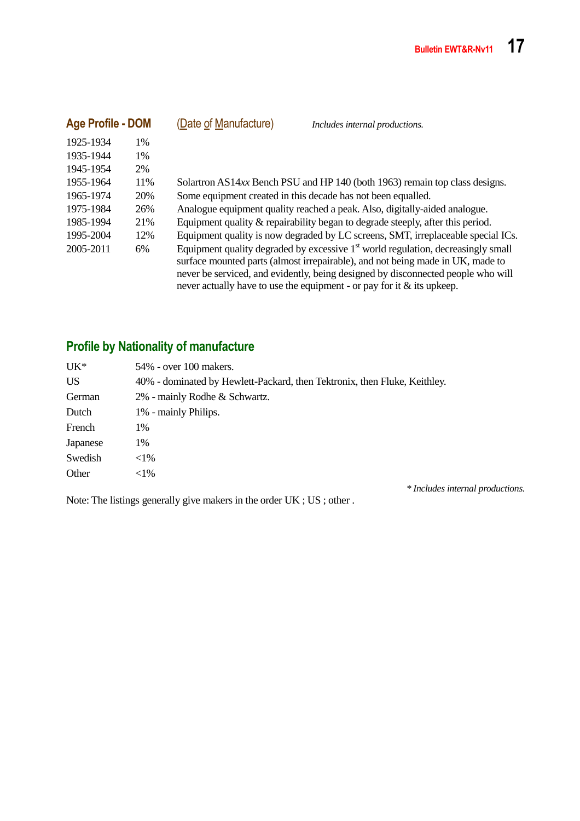| <b>Age Profile - DOM</b> |     | (Date of Manufacture) | Includes internal productions.                                                                                                                                                                                                                                                                                                        |
|--------------------------|-----|-----------------------|---------------------------------------------------------------------------------------------------------------------------------------------------------------------------------------------------------------------------------------------------------------------------------------------------------------------------------------|
| 1925-1934                | 1%  |                       |                                                                                                                                                                                                                                                                                                                                       |
| 1935-1944                | 1%  |                       |                                                                                                                                                                                                                                                                                                                                       |
| 1945-1954                | 2%  |                       |                                                                                                                                                                                                                                                                                                                                       |
| 1955-1964                | 11% |                       | Solartron AS14xx Bench PSU and HP 140 (both 1963) remain top class designs.                                                                                                                                                                                                                                                           |
| 1965-1974                | 20% |                       | Some equipment created in this decade has not been equalled.                                                                                                                                                                                                                                                                          |
| 1975-1984                | 26% |                       | Analogue equipment quality reached a peak. Also, digitally-aided analogue.                                                                                                                                                                                                                                                            |
| 1985-1994                | 21% |                       | Equipment quality & repairability began to degrade steeply, after this period.                                                                                                                                                                                                                                                        |
| 1995-2004                | 12% |                       | Equipment quality is now degraded by LC screens, SMT, irreplaceable special ICs.                                                                                                                                                                                                                                                      |
| 2005-2011                | 6%  |                       | Equipment quality degraded by excessive $1st$ world regulation, decreasingly small<br>surface mounted parts (almost irrepairable), and not being made in UK, made to<br>never be serviced, and evidently, being designed by disconnected people who will<br>never actually have to use the equipment - or pay for it $\&$ its upkeep. |

# **Profile by Nationality of manufacture**

| $UK^*$   | 54% - over 100 makers.                                                    |  |  |
|----------|---------------------------------------------------------------------------|--|--|
| US       | 40% - dominated by Hewlett-Packard, then Tektronix, then Fluke, Keithley. |  |  |
| German   | 2% - mainly Rodhe & Schwartz.                                             |  |  |
| Dutch    | 1% - mainly Philips.                                                      |  |  |
| French   | 1%                                                                        |  |  |
| Japanese | 1%                                                                        |  |  |
| Swedish  | $<1\%$                                                                    |  |  |
| Other    | $<$ 1%                                                                    |  |  |
|          | $\mathbf{v}$ , and a set of the set of $\mathbf{v}$                       |  |  |

Note: The listings generally give makers in the order UK ; US ; other .

*\* Includes internal productions.*